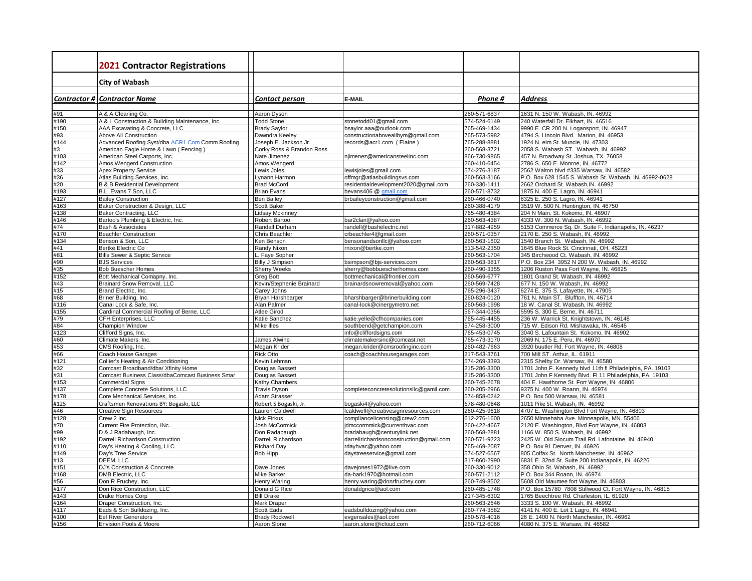|                     | <b>2021 Contractor Registrations</b>                                        |                                               |                                                            |                              |                                                                                                   |
|---------------------|-----------------------------------------------------------------------------|-----------------------------------------------|------------------------------------------------------------|------------------------------|---------------------------------------------------------------------------------------------------|
|                     | <b>City of Wabash</b>                                                       |                                               |                                                            |                              |                                                                                                   |
|                     |                                                                             |                                               |                                                            |                              |                                                                                                   |
|                     | <b>Contractor # Contractor Name</b>                                         | <b>Contact person</b>                         | E-MAIL                                                     | Phone #                      | <b>Address</b>                                                                                    |
| #91                 | A & A Cleaning Co.                                                          | Aaron Dyson                                   |                                                            | 260-571-6837                 | 1631 N. 150 W. Wabash, IN. 46992                                                                  |
| #190                | A & L Construction & Building Maintenance, Inc.                             | <b>Todd Stone</b>                             | stonetodd01@gmail.com                                      | 574-524-6149                 | 240 Waterfall Dr. Elkhart, IN. 46516                                                              |
| #150                | AAA Excavating & Concrete, LLC                                              | <b>Brady Saylor</b>                           | bsaylor.aaa@outlook.com                                    | 765-469-1434                 | 9990 E. CR 200 N. Logansport, IN. 46947                                                           |
| #93                 | Above All Construction                                                      | Dawndra Keeley                                | constructionaboveallbym@gmail.com                          | 765-573-5982                 | 4794 S. Lincoln Blvd. Marion, IN. 46953                                                           |
| #144                | Advanced Roofing Syst/dba ACR1.Com Comm Roofing                             | Joseph E. Jackson Jr.                         | records@acr1.com (Elaine)                                  | 765-288-8881                 | 1924 N. elm St. Muncie, IN. 47303                                                                 |
| #3                  | American Eagle Home & Lawn (Fencing)                                        | Corky Ross & Brandon Ross                     |                                                            | 260-568-3721                 | 2058 S. Wabash ST. Wabash, IN. 46992                                                              |
| #103                | American Steel Carports, Inc.                                               | Nate Jimenez                                  | njimenez@americansteelinc.com                              | 866-730-9865                 | 457 N. Broadway St. Joshua, TX. 76058                                                             |
| $\frac{1142}{1143}$ | Amos Wengerd Construction                                                   | Amos Wengerd                                  |                                                            | 260-410-6454                 | 2786 S. 650 E. Monroe, IN. 46772                                                                  |
| #36                 | Apex Property Service<br>Atlas Building Services, Inc.                      | Lewis Joles<br>Lynann Harmon                  | lewisjoles@gmail.com<br>offmgr@atlasbuildingsvs.com        | 574-276-3187<br>260-563-3166 | 2562 Walton blvd #335 Warsaw, IN. 46582<br>P.O. Box 628 1545 S. Wabash St. Wabash, IN. 46992-0628 |
| #20                 | <b>B &amp; B Residential Development</b>                                    | <b>Brad McCord</b>                            | residentialdevelopment2020@gmail.com                       | 260-330-1411                 | 2662 Orchard St. Wabash, IN. 46992                                                                |
| #193                | B.L. Evans 7 Son, LLC                                                       | <b>Brian Evans</b>                            | bevans406 @ gmail.com                                      | 260-571-8732                 | 1875 N. 400 E. Lagro, IN. 46941                                                                   |
| #127                | <b>Bailey Construction</b>                                                  | <b>Ben Bailey</b>                             | brbaileyconstruction@gmail.com                             | 260-466-0740                 | 6325 E. 250 S. Lagro, IN. 46941                                                                   |
| #163                | Baker Construction & Design, LLC                                            | <b>Scott Baker</b>                            |                                                            | 260-388-4179                 | 3519 W. 500 N. Huntington, IN. 46750                                                              |
| #138                | <b>Baker Contracting, LLC</b>                                               | <b>Lidsay Mckinney</b>                        |                                                            | 765-480-4384                 | 204 N Main. St. Kokomo, IN. 46907                                                                 |
| #146                | Bartoo's Plumbing & Electric, Inc.                                          | Robert Bartoo                                 | bar2clan@yahoo.com                                         | 260-563-4387                 | 4333 W. 300 N. Wabash, IN. 46992                                                                  |
| #74                 | Bash & Associates                                                           | Randall Durham                                | randell@bashelectric.net                                   | 317-882-4959                 | 5153 Commerce Sq. Dr. Suite F. Indianapolis, IN. 46237                                            |
| #170                | <b>Beachler Construction</b>                                                | <b>Chris Beachler</b>                         | crbeachler4@gmail.com                                      | 260-571-0357                 | 2170 E. 250 S. Wabash, IN. 46992                                                                  |
| #134                | Benson & Son, LLC                                                           | Ken Benson                                    | bensonandsonllc@yahoo.com                                  | 260-563-1602                 | 1540 Branch St. Wabash, IN. 46992                                                                 |
| #41                 | Bertke Electric Co                                                          | Randy Nixon                                   | rnixon@bertke.com                                          | 513-542-2350                 | 1645 Blue Rock St. Cincinnati, OH. 45223                                                          |
| #81                 | <b>Bills Sewer &amp; Septic Service</b>                                     | L. Faye Sopher                                |                                                            | 260-563-1704                 | 345 Birchwood Ct. Wabash, IN. 46992                                                               |
| #90<br>#35          | <b>BJS Services</b><br><b>Bob Buescher Homes</b>                            | <b>Billy J Simpson</b><br><b>Sherry Weeks</b> | bsimpson@bjs-services.com                                  | 260-563-3817<br>260-490-3355 | P.O. Box 234 3952 N 200 W. Wabash, IN. 46992<br>1206 Ruston Pass Fort Wayne, IN. 46825            |
| #152                | Bott Mechanical Comapny, Inc.                                               | Greg Bott                                     | sherry@bobbuescherhomes.com<br>bottmechanical@frontier.com | 260-569-6777                 | 1801 Grand St. Wabash, IN. 46992                                                                  |
| #43                 | <b>Brainard Snow Removal, LLC</b>                                           | Kevin/Stephenie Brainard                      | brainardsnowremoval@yahoo.com                              | 260-569-7428                 | 677 N. 150 W. Wabash, IN. 46992                                                                   |
| #15                 | Brand Electric, Inc.                                                        | Carey Johns                                   |                                                            | 765-296-3437                 | 6274 E. 375 S. Lafayette, IN. 47905                                                               |
| #68                 | Briner Building, Inc.                                                       | Bryan Harshbarger                             | bharshbarger@brinerbuilding.com                            | 260-824-0120                 | 761 N. Main ST. Bluffton, IN. 46714                                                               |
| #116                | Canal Lock & Safe, Inc.                                                     | Alan Palmer                                   | canal-lock@cinergymetro.net                                | 260-563-1998                 | 18 W. Canal St. Wabash, IN. 46992                                                                 |
| #155                | Cardinal Commercial Roofing of Berne, LLC                                   | <b>Atlee Girod</b>                            |                                                            | 567-344-0356                 | 5595 S. 300 E. Berne, IN. 46711                                                                   |
| #79                 | CFH Enterprises, LLC                                                        | Katie Sanchez                                 | katie.yelle@cfhcompanies.com                               | 765-445-4455                 | 236 W. Warrick St. Knightstown, IN. 46148                                                         |
| #84                 | Champion Window                                                             | Mike Illes                                    | southbend@getchampion.com                                  | 574-258-3000                 | 715 W. Edison Rd. Mishawaka, IN. 46545                                                            |
| #123                | Clifford Signs, Inc.                                                        |                                               | info@cliffordsigns.com                                     | 765-453-0745                 | 3040 S. Lafountain St. Kokomo, IN. 46902                                                          |
| #60                 | Climate Makers, Inc.                                                        | James Alwine                                  | climatemakersinc@comcast.net                               | 765-473-3170                 | 2069 N. 175 E. Peru, IN. 46970                                                                    |
| #53                 | CMS Roofing, Inc.                                                           | Megan Krider                                  | megan.krider@cmsroofinginc.com                             | 260-482-7663                 | 3920 buutler Rd. Fort Wayne, IN. 46808                                                            |
| #66                 | Coach House Garages                                                         | <b>Rick Otto</b>                              | coach@coachhousegarages.com                                | 217-543-3761                 | 700 Mill ST. Arthur, IL. 61911                                                                    |
| #121<br>#32         | Collier's Heating & Air Conditioning<br>Comcast Broadband/dba/ Xfinity Home | Kevin Lehman<br>Douglas Bassett               |                                                            | 574-269-3393<br>215-286-3300 | 2315 Shelby Dr. Warsaw, IN. 46580<br>1701 John F. Kennedy blvd 11th fl Philadelphia, PA. 19103    |
| #31                 | Comcast Business Class/dbaComcast Business Smar                             | Douglas Bassett                               |                                                            | 215-286-3300                 | 1701 John F Kennedy Blvd. Fl 11 Philadelphia, PA. 19103                                           |
| #153                | <b>Commercial Signs</b>                                                     | Kathy Chambers                                |                                                            | 260-745-2678                 | 404 E. Hawthorne St. Fort Wayne, IN. 46806                                                        |
| #137                | Complete Concrete Solutions, LLC                                            | <b>Travis Dyson</b>                           | completeconcretesolutionsllc@gamil.com                     | 260-205-2966                 | 9375 N. 400 W. Roann, IN. 46974                                                                   |
| #178                | Core Mechanical Services, Inc.                                              | Adam Strasser                                 |                                                            | 574-858-0242                 | P.O. Box 500 Warsaw, IN. 46581                                                                    |
| #125                | Craftsmen Renovations BY: Bogaski, LLC                                      | Robert S Bogaski, Jr.                         | bogaski4@yahoo.com                                         | 678-480-0848                 | 1011 Pike St. Wabash, IN. 46992                                                                   |
| #46                 | <b>Creative Sign Resources</b>                                              | Lauren Caldwell                               | Icaldwell@creativesignresources.com                        | 260-425-9618                 | 4707 E. Washington Blvd Fort Wayne, IN. 46803                                                     |
| #128                | Crew 2 Inc.                                                                 | <b>Nick Firkus</b>                            | compliancelicensing@crew2.com                              | 612-276-1600                 | 2650 Minnehaha Ave. Minneapolis, MN. 55406                                                        |
| #70                 | Current Fire Protection, INc.                                               | Josh McCormick                                | jdmccormmick@currenthvac.com                               | 260-422-4667                 | 2120 E. Washington, Blvd Fort Wayne, IN. 46803                                                    |
| #99                 | D & J Radabaugh, Inc.                                                       | Don Radabaugh                                 | bradabaugh@centurylink.net                                 | 260-568-2881                 | 1166 W. 850 S. Wabash, IN. 46992                                                                  |
| #192                | Darrell Richardson Construction                                             | Darrell Richardson                            | darrellrichardsonconstruction@gmail.com                    | 260-571-9223                 | 2425 W. Old Slocum Trail Rd. Lafontaine, IN. 46940                                                |
| #110                | Day's Heating & Cooling, LLC                                                | <b>Richard Day</b>                            | rdayhvac@yahoo.com                                         | 765-469-2087                 | P.O. Box 91 Denver, IN. 46926                                                                     |
| 149                 | Day's Tree Service                                                          | Bob Hipp                                      | daystreeservice@gmail.com                                  | 574-527-6567                 | 805 Colfax St. North Manchester, IN. 46962                                                        |
| #13                 | DEEM, LLC                                                                   |                                               |                                                            | 317-860-2990                 | 6831 E. 32nd St. Suite 200 Indianapolis, IN. 46226                                                |
| #151<br>#168        | DJ's Construction & Concrete<br><b>DMB Electric, LLC</b>                    | Dave Jones<br>Mike Barker                     | davejones1972@live.com<br>da-bark1970@hotmail.com          | 260-330-9012<br>260-571-2112 | 358 Ohio St. Wabash, IN. 46992<br>P.O. Box 344 Roann, IN. 46974                                   |
| #56                 | Don R Fruchey, Inc.                                                         | <b>Henry Waring</b>                           | henry.waring@donrfruchey.com                               | 260-749-8502                 | 5608 Old Maumee fort Wayne, IN. 46803                                                             |
| #177                | Don Rice Construction, LLC                                                  | Donald G Rice                                 | donaldgrice@aol.com                                        | 260-485-1748                 | P.O. Box 15780 7808 Stillwood Ct. Fort Wayne, IN. 46815                                           |
| #143                | Drake Homes Corp                                                            | <b>Bill Drake</b>                             |                                                            | 217-345-6302                 | 1765 Beechtree Rd. Charleston, IL. 61920                                                          |
| #164                | Draper Construction, Inc.                                                   | Mark Draper                                   |                                                            | 260-563-2646                 | 3333 S. 100 W. Wabash, IN. 46992                                                                  |
| #117                | Eads & Son Bulldozing, Inc.                                                 | <b>Scott Eads</b>                             | eadsbulldozing@yahoo.com                                   | 260-774-3582                 | 4141 N. 400 E. Lot 1 Lagro, IN. 46941                                                             |
| #100                | <b>Eel River Generators</b>                                                 | <b>Brady Rockwell</b>                         | evgensales@aol.com                                         | 260-578-4016                 | 26 E. 1400 N. North Manchester. IN. 46962                                                         |
| #156                | Envision Pools & Moore                                                      | Aaron Slone                                   | aaron.slone@icloud.com                                     | 260-712-6066                 | 4080 N. 375 E. Warsaw, IN. 46582                                                                  |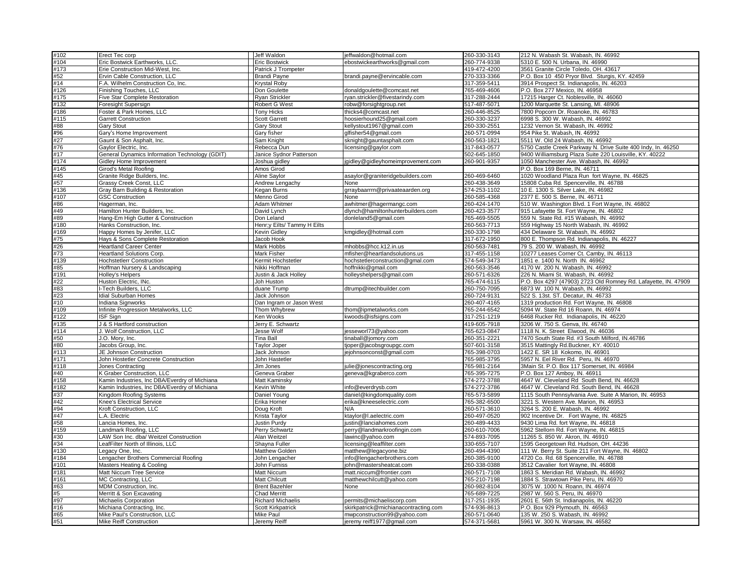| #102       | Erect Tec corp                                                     | Jeff Waldon                               | jeffwaldon@hotmail.com               | 260-330-3143                 | 212 N. Wabash St. Wabash, IN. 46992                                              |
|------------|--------------------------------------------------------------------|-------------------------------------------|--------------------------------------|------------------------------|----------------------------------------------------------------------------------|
| #104       | Eric Bostwick Earthworks, LLC.                                     | <b>Eric Bostwick</b>                      | ebostwickearthworks@gmail.com        | 260-774-9338                 | 5310 E. 500 N. Urbana, IN. 46990                                                 |
| #173       | Erie Construction Mid-West, Inc.                                   | Patrick J Trompeter                       |                                      | 419-472-4200                 | 3561 Granite Circle Toledo, OH. 43617                                            |
| #52        | Ervin Cable Construction, LLC                                      | <b>Brandi Payne</b>                       | brandi.payne@ervincable.com          | 270-333-3366                 | P.O. Box 10 450 Pryor Blvd. Sturgis, KY. 42459                                   |
| #14        | F.A. Wilhelm Construction Co, Inc.                                 | <b>Krystal Roby</b>                       |                                      | 317-359-5411                 | 3914 Prospect St. Indianapolis, IN. 46203                                        |
| #126       | Finishing Touches, LLC                                             | Don Goulette                              | donaldgoulette@comcast.net           | 765-469-4606                 | P.O. Box 277 Mexico, IN. 46958                                                   |
| #175       | Five Star Complete Restoration                                     | <b>Ryan Strickler</b>                     | ryan.strickler@fivestarindy.com      | 317-288-2444                 | 17215 Harger Ct. Noblesville, IN. 46060                                          |
| #132       | Foresight Supersign                                                | <b>Robert G West</b>                      | robw@forsightgroup.net               | 517-487-5071                 | 1200 Marquette St. Lansing, Ml. 48906                                            |
| #186       | Foster & Park Homes, LLC                                           | <b>Tony Hicks</b>                         | thicks4@comcast.net                  | 260-446-8525                 | 7800 Popcorn Dr. Roanoke, IN. 46783                                              |
| #115       | <b>Garrett Construction</b>                                        | <b>Scott Garrett</b>                      | hoosierhound25@gmail.com             | 260-330-3237                 | 6998 S. 300 W. Wabash, IN. 46992                                                 |
| #88        | <b>Gary Stout</b>                                                  | <b>Gary Stout</b>                         | kellystout1967@gmail.com             | 260-330-2551                 | 1232 Vernon St. Wabash, IN. 46992                                                |
| #96        | Gary's Home Improvement                                            | Gary fisher                               | glfisher54@gmail.com                 | 260-571-0994                 | 954 Pike St. Wabash, IN. 46992                                                   |
| #27        | Gaunt & Son Asphalt, Inc.                                          | Sam Knight                                | sknight@gauntasphalt.com             | 260-563-1821                 | 5511 W. Old 24 Wabash, IN. 46992                                                 |
| #76        | Gaylor Electric, Inc.                                              | Rebecca Dun                               | licensing@gaylor.com                 | 317-843-0577                 | 5750 Castle Creek Parkway N. Drive Suite 400 Indy, In. 46250                     |
| #17        | General Dynamics Information Technology (GDIT)                     | Janice Sydnor Patterson                   |                                      | 502-645-1850                 | 9400 Williamsburg Plaza Suite 220 Louisville, KY. 40222                          |
| #174       | Gidley Home Improvement                                            | Joshua gidley                             | igidley@gidleyhomeimprovement.com    | 260-901-9357                 | 1050 Manchester Ave. Wabash, IN. 46992                                           |
| #145       | Girod's Metal Roofing                                              | Amos Girod                                |                                      |                              | P.O. Box 169 Berne, IN. 46711                                                    |
| #45        | Granite Ridge Builders, Inc.                                       | Aline Saylor                              | asaylor@graniteridgebuilders.com     | 260-469-6460                 | 1020 Woodland Plaza Run fort Wayne, IN. 46825                                    |
| #57        | Grassy Creek Const, LLC                                            | Andrew Lengachy                           | None                                 | 260-438-3649                 | 15808 Cuba Rd. Spencerville, IN. 46788                                           |
| #136       | Gray Barn Building & Restoration                                   | Kegan Burns                               | grraybaarrrn@privaateaarden.org      | 574-253-1102                 | 10 E. 1300 S. Silver Lake, IN. 46982                                             |
| #107       | <b>GSC Construction</b>                                            | Menno Girod                               | None                                 | 260-585-4368                 | 2377 E. 500 S. Berne, IN. 46711                                                  |
| #86        | Hagerman, Inc.                                                     | Adam Whitmer                              | awhitmer@hagermangc.com              | 260-424-1470                 | 510 W. Washington Blvd. 1 Fort Wayne, IN. 46802                                  |
| #49        | Hamilton Hunter Builders, Inc.                                     | David Lynch                               | dlynch@hamiltonhunterbuilders.com    | 260-423-3577                 | 915 Lafayette St. Fort Wayne, IN. 46802                                          |
| #89        | Hang-Em High Gutter & Construction                                 | Don Leland<br>Henr;y Eilts/ Tammy H Eilts | donleland5@gmail.com                 | 765-469-5505                 | 559 N. State Rd. #15 Wabash, IN. 46992<br>559 Highway 15 North Wabash, IN. 46992 |
| #180       | Hanks Construction, Inc.                                           | <b>Kevin Gidley</b>                       | kmgidley@hotmail.com                 | 260-563-7713<br>260-330-1798 |                                                                                  |
| #169       | Happy Homes by Jenifer, LLC                                        |                                           |                                      |                              | 434 Delaware St. Wabash, IN. 46992                                               |
| #75<br>#26 | Hays & Sons Complete Restoration<br><b>Heartland Career Center</b> | Jacob Hook<br><b>Mark Hobbs</b>           | mhobbs@hcc.k12.in.us                 | 317-672-1950<br>260-563-7481 | 800 E. Thompson Rd. Indianapolis, IN. 46227<br>79 S. 200 W. Wabash, IN. 46992    |
| #73        | <b>Heartland Solutions Corp.</b>                                   | <b>Mark Fisher</b>                        | mfisher@heartlandsolutions.us        | 317-455-1158                 | 10277 Leases Corner Ct. Camby, IN. 46113                                         |
| #139       | <b>Hochstetlerr Construction</b>                                   | Kermit Hochstetler                        | hochstetlerconstruction@gmal.com     | 574-549-3473                 | 1851 e. 1400 N. North IN. 46962                                                  |
| #85        | Hoffman Nursery & Landscaping                                      | Nikki Hoffman                             | hoffnikki@gmail.com                  | 260-563-3546                 | 4170 W. 200 N. Wabash, IN. 46992                                                 |
| #191       | Holley's Helpers                                                   | Justin & Jack Holley                      | holleyshelpers@gmail.com             | 260-571-6326                 | 226 N. Miami St. Wabash, IN. 46992                                               |
| #22        | Huston Electric, INc.                                              | Joh Huston                                |                                      | 765-474-6115                 | P.O. Box 4297 (47903) 2723 Old Romney Rd. Lafayette, IN. 47909                   |
| #83        | -Tech Builders, LLC                                                | duane Trump                               | dtrump@itechbuilder.com              | 260-750-7095                 | 6873 W. 100 N. Wabash, IN. 46992                                                 |
| #23        | dial Suburban Homes                                                | Jack Johnson                              |                                      | 260-724-9131                 | 522 S. 13st. ST. Decatur, IN. 46733                                              |
| #10        | Indiana Signworks                                                  | Dan Ingram or Jason West                  |                                      | 260-407-4165                 | 1319 production Rd. Fort Wayne, IN. 46808                                        |
| #109       | Infinite Progression Metalworks, LLC                               | Thom Whybrew                              | thom@ipmetalworks.com                | 765-244-6542                 | 5094 W. State Rd 16 Roann, IN. 46974                                             |
| #122       | ISF Sign                                                           | Ken Wooks                                 | kwoods@isfsigns.com                  | 317-251-1219                 | 6468 Rucker Rd. Indianapolis, IN, 46220                                          |
| #135       | J & S Hartford construction                                        | Jerry E. Schwartz                         |                                      | 419-605-7918                 | 3206 W. 750 S. Genva, IN. 46740                                                  |
| #114       | J. Wolf Construction, LLC                                          | Jesse Wolf                                | jesseworl73@yahoo.com                | 765-623-0847                 | 1118 N. K. Street Elwood. IN. 46036                                              |
| #50        | J.O. Mory, Inc.                                                    | <b>Tina Ball</b>                          | tinaball@jomory.com                  | 260-351-2221                 | 7470 South State Rd. #3 South Milford, IN.46786                                  |
| #80        | Jacobs Group, Inc.                                                 | <b>Taylor Joper</b>                       | tjoper@jacobsgroupgc.com             | 507-601-3158                 | 3515 Mattingly Rd.Buckner, KY. 40010                                             |
| #113       | JE Johnson Construction                                            | Jack Johnson                              | jejohnsonconst@gmail.com             | 765-398-0703                 | 1422 E. SR 18 Kokomo, IN. 46901                                                  |
| #171       | John Hostetler Concrete Construction                               | John Hastetler                            |                                      | 765-985-3795                 | 5957 N. Eel River Rd. Peru, IN. 46970                                            |
| #118       | Jones Contracting                                                  | Jim Jones                                 | julie@jonescontracting.org           | 765-981-2164                 | 3Main St. P.O. Box 117 Somerset, IN. 46984                                       |
| #40        | <b>K Graber Construction, LLC</b>                                  | Geneva Graber                             | geneva@kgraberco.com                 | 765-395-7275                 | P.O. Box 127 Amboy, IN. 46911                                                    |
| #158       | Kamin Industries, Inc DBA/Everdry of Michiana                      | Matt Kaminsky                             |                                      | 574-272-3788                 | 4647 W. Cleveland Rd South Bend, IN. 46628                                       |
| #182       | Kamin Industries, Inc DBA/Everdry of Michiana                      | Kevin White                               | info@everdrysb.com                   | 574-272-3786                 | 4647 W. Cleveland Rd. South Bend, IN. 46628                                      |
| #37        | Kingdom Roofing Systems                                            | Daniel Young                              | daniel@kingdomquality.com            | 765-573-5899                 | 1115 South Pennsylvania Ave. Suite A Marion, IN. 46953                           |
| #42        | Knee's Electrical Service                                          | Erika Horner                              | erika@kneeselectric.com              | 765-382-6500                 | 3221 S. Western Ave. Marion, IN. 46953                                           |
| #94        | Kroft Construction, LLC                                            | Doug Kroft                                | N/A                                  | 260-571-3610                 | 3264 S. 200 E. Wabash, IN. 46992                                                 |
| #47        | .A. Electric                                                       | Krista Taylor                             | ktaylor@l.aelectric.com              | 260-497-0520                 | 902 Incentive Dr. Fort Wayne, IN. 46825                                          |
| #58        | Lancia Homes, Inc.                                                 | Justin Purdy                              | justin@lanciahomes.com               | 260-489-4433                 | 9430 Lima Rd. fort Wayne, IN. 46818                                              |
| #159       | Landmark Roofing, LLC                                              | Perry Schwartz                            | perry@landmarkroofingin.com          | 260-610-7006                 | 5962 Stellorn Rd. Fort Wayne, IN. 46815                                          |
| #30        | LAW Son Inc. dba/ Weitzel Construction                             | Alan Weitzel                              | lawinc@yahoo.com                     | 574-893-7095                 | 11265 S. 850 W. Akron, IN. 46910                                                 |
| #34        | LeafFilter North of Illinois, LLC                                  | Shayna Fuller                             | icensing@leaffilter.com              | 330-655-7107                 | 1595 Georgetown Rd. Hudson, OH. 44236                                            |
| #130       | Legacy One, Inc.                                                   | Matthew Golden                            | matthew@legacyone.biz                | 260-494-4390                 | 111 W. Berry St. Suite 211 Fort Wayne, IN. 46802                                 |
| #184       | Lengacher Brothers Commercial Roofing                              | John Lengacher                            | info@lengacherbrothers.com           | 260-385-9100                 | 4720 Co. Rd. 68 Spencerville, IN. 46788                                          |
| #101       | Masters Heating & Cooling                                          | John Furniss                              | john@mastersheatcat.com              | 260-338-0388                 | 3512 Cavalier fort Wayne, IN. 46808                                              |
| #181       | Matt Niccum Tree Service                                           | <b>Matt Niccum</b>                        | matt.niccum@frontier.com             | 260-571-7108                 | 1863 S. Meridian Rd. Wabash, IN. 46992                                           |
| #161       | MC Contracting, LLC                                                | <b>Matt Chilcutt</b>                      | matthewchilcutt@yahoo.com            | 765-210-7198                 | 1884 S. Strawtown Pike Peru, IN. 46970                                           |
| #63        | MDM Construction, Inc.                                             | <b>Brent Bazehler</b>                     | None                                 | 260-982-8104                 | 3075 W. 1000 N. Roann, IN. 46974                                                 |
| #5         | Merritt & Son Excavating                                           | <b>Chad Merritt</b>                       |                                      | 765-689-7225                 | 2987 W. 560 S. Peru, IN. 46970                                                   |
| #97        | Michaelis Corporation                                              | <b>Richard Michaelis</b>                  | permits@michaeliscorp.com            | 317-251-1935                 | 2601 E. 56th St. Indianapolis, IN. 46220                                         |
| #16        | Michiana Contracting, Inc.                                         | Scott Kirkpatrick                         | skirkpatrick@michianacontracting.com | 574-936-8613                 | P.O. Box 929 Plymouth, IN. 46563                                                 |
| #65        | Mike Paul's Construction, LLC                                      | <b>Mike Paul</b>                          | mwpconstruction99@yahoo.com          | 260-571-0640                 | 135 W. 250 S. Wabash, IN. 46992                                                  |
| #51        | <b>Mike Reiff Construction</b>                                     | Jeremy Reiff                              | jeremy reiff1977@gmail.com           | 574-371-5681                 | 5961 W. 300 N. Warsaw, IN. 46582                                                 |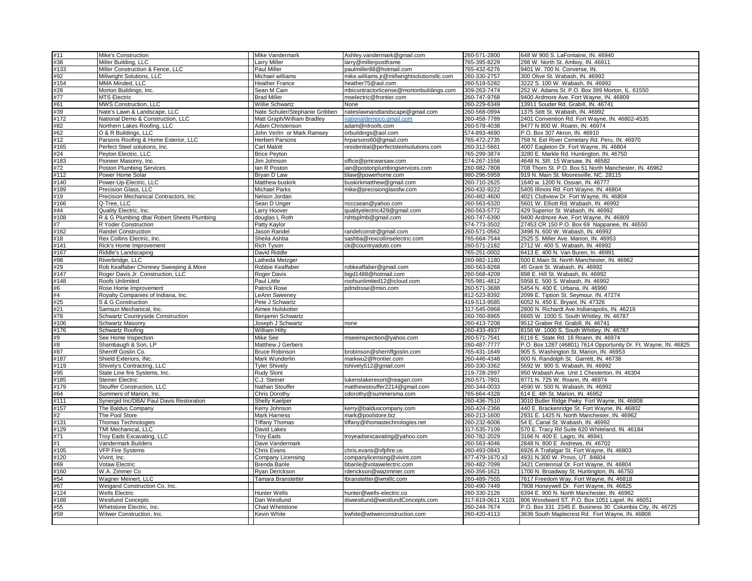| #11<br>#38<br>#133                                                                                                                                              | Mike's Construction                        | Mike Vandermark                | Ashley.vandermark@gmail.com                 | 260-571-2800      | 648 W 900 S. LaFontaine, IN. 46940                              |
|-----------------------------------------------------------------------------------------------------------------------------------------------------------------|--------------------------------------------|--------------------------------|---------------------------------------------|-------------------|-----------------------------------------------------------------|
|                                                                                                                                                                 | Miller Building, LLC                       | <b>Larry Miller</b>            | larry@millerpostframe                       | 765-395-8229      | 298 W. North St. Amboy, IN. 46911                               |
|                                                                                                                                                                 | Miller Construction & Fence, LLC           | Paul Miller                    | paulmiller88@hotmail.com                    | 765-432-6276      | 9401 W. 700 N. Converse, IN.                                    |
| #92                                                                                                                                                             | Millwright Solutions, LLC                  | Michael williams               | mike.williams.jr@millwrightsolutionsllc.com | 260-330-2757      | 300 Olive St. Wabash, IN, 46992                                 |
| #154                                                                                                                                                            | MMA Minded, LLC                            | <b>Heather France</b>          | heather75@aol.com                           | 260-519-5282      | 3222 S. 100 W. Wabash, IN. 46992                                |
| #28                                                                                                                                                             | Morton Buildings, Inc.                     | Sean M Cain                    | mbicontractorlicense@mortonbuildings.com    | 309-263-7474      | 252 W. Adams St. P.O. Box 399 Morton, IL. 61550                 |
| #77                                                                                                                                                             | <b>MTS Electric</b>                        | <b>Brad Miller</b>             | mselectric@frontier.com                     | 260-747-9768      | 9400 Ardmore Ave. Fort Wayne, IN. 46809                         |
| #61                                                                                                                                                             | MWS Construction, LLC                      | <b>Willie Schwartz</b>         | None                                        | 260-229-6349      | 13911 Souder Rd. Grabill, IN. 46741                             |
| #39                                                                                                                                                             | Nate's Lawn & Landscape, LLC               | Nate Schuler/Stephanie Gribben | nateslawnandlandscape@gmail.com             | 260-568-0994      | 1375 Stitt St. Wabash, IN. 46992                                |
|                                                                                                                                                                 | National Demo & Construction, LLC          | Matt Graph/William Bradley     | nationaldemoco.gmail.com                    | 260-458-7789      | 2401 Convention Rd. Fort Wayne, IN. 46802-4535                  |
| $\frac{1172}{1172}$<br>$\frac{1172}{162}$                                                                                                                       | Northern Lakes Roofing, LLC                | Adam Christenson               | adam@nlroofs.com                            | 260-578-4038      | 9477 N 800 W. Roann, IN. 46974                                  |
|                                                                                                                                                                 | O & R Buildings, LLC                       | John Verlin or Mark Ramsey     | orbuildings@aol.com                         | 574-893-4690      | P.O. Box 307 Akron, IN. 46910                                   |
| #12                                                                                                                                                             | Parsons Roofing & Home Exterior, LLC       | <b>Herbert Parsons</b>         | hrparsons60@gmail.com                       | 765-472-2735      | 758 N. Eel River Cemetary Rd. Peru, IN. 46970                   |
| #165                                                                                                                                                            | Perfect Steel solutions, Inc.              | <b>Carl Malott</b>             | residential@perfectsteelsolutions.com       | 260-312-5661      | 4007 Eagleton Dr. Fort Wayne, IN. 46804                         |
| #24                                                                                                                                                             | Peyton Electric, LLC                       | <b>Brice Peyton</b>            |                                             | 765-299-3874      | 3280 E. Markle Rd. Huntington, IN. 46750                        |
| #183                                                                                                                                                            | Pioneer Masonry, Inc.                      | Jim Johnson                    | office@pmcwarsaw.com                        | 574-267-1556      | 4648 N. SR. 15 Warsaw, IN. 46582                                |
| #72                                                                                                                                                             | Poston Plumbing Services                   | lan R Poston                   | ian@postonplumbingservices.com              | 260-982-7808      | 708 Thorn St. P.O. Box 51 North Manchester, IN. 46962           |
| #112                                                                                                                                                            | Power Home Solar                           | Bryan D Law                    |                                             | 980-296-5959      | 919 N. Main St. Mooresville, NC. 28115                          |
| #140                                                                                                                                                            |                                            |                                | blaw@powerhome.com                          |                   |                                                                 |
|                                                                                                                                                                 | Power-Up-Electric, LLC                     | Matthew buskirk                | buskirkmatthew@gmail.com                    | 260-710-2625      | 1640 w. 1200 N. Ossian, IN. 46777                               |
| #189                                                                                                                                                            | Precision Glass, LLC                       | <b>Michael Parks</b>           | mike@precisionglassfw.com                   | 260-432-9222      | 5405 Illinois Rd. Fort Wayne, IN. 46804                         |
| #19                                                                                                                                                             | Precision Mechanical Contractors, Inc.     | Nelson Jordan                  |                                             | 260-482-4600      | 4021 Clubview Dr. Fort Wayne, IN. 46804                         |
| #166                                                                                                                                                            | Q-Tree, LLC                                | Sean D Unger                   | ncccsean@yahoo.com                          | 260-563-6320      | 5601 W. Elliott Rd. Wabash, IN. 46992                           |
| #44                                                                                                                                                             | Quality Electric, Inc.                     | Larry Hoover                   | qualityelectric429@gmail.com                | 260-563-5772      | 429 Superior St Wabash, IN. 46992                               |
| #108                                                                                                                                                            | R & G Plumbing dba/ Robert Sheets Plumbing | douglas L Roth                 | rshtsplmb@gmail.com                         | 260-747-6390      | 9400 Ardmore Ave. Fort Wayne, IN. 46809                         |
| #7                                                                                                                                                              | R Yoder Construction                       | Patty Kaylor                   |                                             | 574-773-3502      | 27453 CR 150 P.O. Box 69 Nappanee, IN. 46550                    |
| #162                                                                                                                                                            | Randel Construction                        | Jason Randel                   | randelconstr@gmail.com                      | 260-571-0562      | 3498 N. 600 W. Wabash, IN. 46992                                |
| #18                                                                                                                                                             | Rex Collins Electric, Inc.                 | Sheila Ashba                   | sashba@rexcollinselectric.com               | 765-664-7544      | 2525 S. Miller Ave. Marion, IN. 46953                           |
| #141                                                                                                                                                            | Rick's Home Improvement                    | Rich Tyson                     | ck@countryaduto.com                         | 260-571-2182      | 2712 W. 400 S. Wabash, IN. 46992                                |
| #167                                                                                                                                                            | Riddle's Landscaping                       | David Riddle                   |                                             | 765-251-0002      | 6413 E. 400 N. Van Buren, In. 46991                             |
| #98                                                                                                                                                             | Riverbridge, LLC                           | Latheda Metzger                |                                             | 260-982-1180      | 500 E.Main St. North Manchester, IN. 46962                      |
| #29                                                                                                                                                             | Rob Keaffaber Chimney Sweeping & More      | Robbie Keaffaber               | robkeaffaber@gmail.com                      | 260-563-8268      | 45 Grant St. Wabash, IN. 46992                                  |
| #147                                                                                                                                                            | Roger Davis Jr. Construction, LLC          | Roger Davis                    | bigd1488@hotmail.com                        | 260-568-4209      | 898 E. Hill St. Wabash, IN. 46992                               |
| $\frac{\frac{1}{\cancel{11}}}{\cancel{1148}}$ $\frac{\cancel{1148}}{\cancel{1148}}$ $\frac{\cancel{1148}}{\cancel{1148}}$ $\frac{\cancel{1148}}{\cancel{1148}}$ | Roofs Unlimited                            | Paul Little                    | roofsunlimited12@icloud.com                 | 765-981-4812      | 5958 E. 500 S. Wabash, IN. 46992                                |
|                                                                                                                                                                 | Rose Home Improvement                      | Patrick Rose                   | pdmdrose@msn.com                            | 260-571-3688      | 5454 N. 400 E. Urbana, IN. 46990                                |
|                                                                                                                                                                 | Royalty Companies of Indiana, Inc.         | LeAnn Sweeney                  |                                             | 812-523-8392      | 2099 E. Tiption St. Seymour, IN. 47274                          |
|                                                                                                                                                                 | S & G Construction                         | Pete J Schwartz                |                                             | 419-513-9585      | 6052 N. 450 E. Brvant. IN. 47326                                |
|                                                                                                                                                                 | Samsun Mechanical, Inc.                    | Aimee Hulskotter               |                                             | 317-545-0968      | 2800 N. Richardt Ave.Indianapolis, IN. 46219                    |
| $\frac{1}{178}$<br>#106                                                                                                                                         | Schwartz Countryside Construction          | Benjamin Schwartz              |                                             | 260-760-8965      | 6665 W. 1000 S. South Whitley, IN. 46787                        |
|                                                                                                                                                                 | Schwartz Masonry                           | Joseph J Schwartz              | none                                        | 260-413-7208      | 9512 Graber Rd. Grabill, IN. 46741                              |
| #176                                                                                                                                                            | Schwartz Roofing                           | <b>William Hilty</b>           |                                             | 260-433-4937      | 8156 W. 1000 S. South Whitley, IN. 46787                        |
| #9                                                                                                                                                              | See Home Inspection                        | Mike See                       | mseeinspection@yahoo.com                    | 260-571-7541      | 6116 E. State Rd. 16 Roann, IN. 46974                           |
| $\frac{1}{148}$                                                                                                                                                 | Shambaugh & Son, LP                        | Matthew J Gerbers              |                                             | 260-487-7777      | P.O. Box 1287 (46801) 7614 Opportunity Dr. Ft. Wayne, IN. 46825 |
|                                                                                                                                                                 | Sherriff Goslin Co.                        | <b>Bruce Robinson</b>          | brobinson@sherriffgoslin.com                | 765-431-1649      | 905 S. Washington St. Marion, IN. 46953                         |
| #187                                                                                                                                                            | Shield Exteriors, INc.                     | Mark Wunderlin                 | markwu2@frontier.com                        | 260-446-4348      | 600 N. Randolph St. Garrett, IN. 46738                          |
| #119                                                                                                                                                            | Shively's Contracting, LLC                 | <b>Tyler Shively</b>           | tshively512@gmail.com                       | 260-330-3362      | 5692 W. 900 S. Wabash, IN. 46992                                |
| #95                                                                                                                                                             | State Line fire Systems, Inc.              | <b>Rudy Slont</b>              |                                             | 219-728-2997      | 950 Wabash Ave. Unit 1 Chesterton, IN. 46304                    |
| #185                                                                                                                                                            | Steiner Electric                           | C.J. Steiner                   | lukenslakeresort@reagan.com                 | 260-571-7801      | 9771 N. 725 W. Roann, IN. 46974                                 |
| #179                                                                                                                                                            | Stouffer Construction, LLC                 | Nathan Stouffer                | matthewstouffer2214@gmail.com               | 260-344-0033      | 4590 W. 500 N. Wabash, IN. 46992                                |
| #64                                                                                                                                                             | Summers of Marion, Inc.                    | Chris Dorothy                  | cdorothy@summersma.com                      | 765-664-4328      | 614 E. 4th St. Marion, IN. 46952                                |
| #111                                                                                                                                                            | Synergid Inc/DBA/ Paul Davis Restoration   | <b>Shelly Kaelper</b>          |                                             | 260-436-7510      | 3010 Butler Ridge Pwky Fort Wayne, IN. 46808                    |
| #157                                                                                                                                                            | The Baldus Company                         | Kerry Johnson                  | kerry@balduscompany.com                     | 260-424-2366      | 440 E. Brackenridge St. Fort Wayne, IN. 46802                   |
| #2                                                                                                                                                              | The Pool Store                             | <b>Mark Harness</b>            | mark@poolstore.biz                          | 260-213-1600      | 2931 E. 1425 N. North Manchester, IN. 46962                     |
| #131                                                                                                                                                            | Thomas Technologies                        | <b>Tiffany Thomas</b>          | tiffany@thomastechnologies.net              | 260-232-6006      | 54 E. Canal St. Wabash, IN. 46992                               |
| #129                                                                                                                                                            | TMI Mechanical, LLC                        | David Lakes                    |                                             | 317-535-7109      | 570 E. Tracy Rd Suite 620 Whiteland, IN. 46184                  |
| #71                                                                                                                                                             | Troy Eads Excavating, LLC                  | <b>Troy Eads</b>               | troyeadsexcavating@yahoo.com                | 260-782-2029      | 3166 N. 400 E. Lagro, IN. 46941                                 |
| #1                                                                                                                                                              | Vandermark Builders                        | Dave Vandermark                |                                             | 260-563-4046      | 2848 N. 800 E Andrews, IN. 46702                                |
| #105                                                                                                                                                            | <b>VFP Fire Systems</b>                    | <b>Chris Evans</b>             | chris.evans@vfpfire.us                      | 260-493-0843      | 6926 A Trafalgar St. Fort Wayne, IN. 46803                      |
| #120                                                                                                                                                            | Vivint, Inc.                               | Company Licensing              | companylicensing@vivint.com                 | 877-479-1670 x3   | 4931 N.300 W. Provo, UT. 84604                                  |
| #69                                                                                                                                                             | Votaw Electric                             | <b>Brenda Barile</b>           | bbarile@votawelectric.com                   | 260-482-7099      | 3421 Centennial Dr. Fort Wayne, IN. 46804                       |
| #160                                                                                                                                                            | W.A. Zimmer Co                             | Ryan Derickson                 | rderickson@wazimmer.com                     | 260-356-1621      | 1700 N. Broadway St. Huntington, IN. 46750                      |
| #54                                                                                                                                                             | Wagner Meinert, LLC                        | <b>Tamara Branstetter</b>      | tbranstetter@wmillc.com                     | 260-489-7555      | 7617 Freedom Way, Fort Wayne, IN. 46818                         |
| #67                                                                                                                                                             | Weigand Construction Co, Inc.              |                                |                                             | 260-490-7449      | 7808 Honeywell Dr. Fort Wayne, IN. 46825                        |
| #124                                                                                                                                                            | <b>Wells Electric</b>                      | <b>Hunter Wells</b>            | hunter@wells-electric.co                    | 260-330-2126      | 6394 E. 900 N. North Manchester, IN. 46962                      |
| #188                                                                                                                                                            | <b>Westlund Concepts</b>                   | Dan Westlund                   | dswestlund@westlundConcepts.com             | 317-819-0611 X101 | 806 Woodward ST. P.O. Box 1051 Lapel, IN. 46051                 |
| #55                                                                                                                                                             | Whetstone Electric, Inc.                   | Chad Whetstone                 |                                             | 260-244-7674      | P.O. Box 331 2345 E. Business 30 Columbia City, IN. 46725       |
| #59                                                                                                                                                             | Witwer Construction, Inc.                  | Kevin White                    | kwhite@witwerconstruction.com               | 260-420-4113      | 3636 South Maplecrest Rd. Fort Wayne, IN. 46806                 |
|                                                                                                                                                                 |                                            |                                |                                             |                   |                                                                 |
|                                                                                                                                                                 |                                            |                                |                                             |                   |                                                                 |